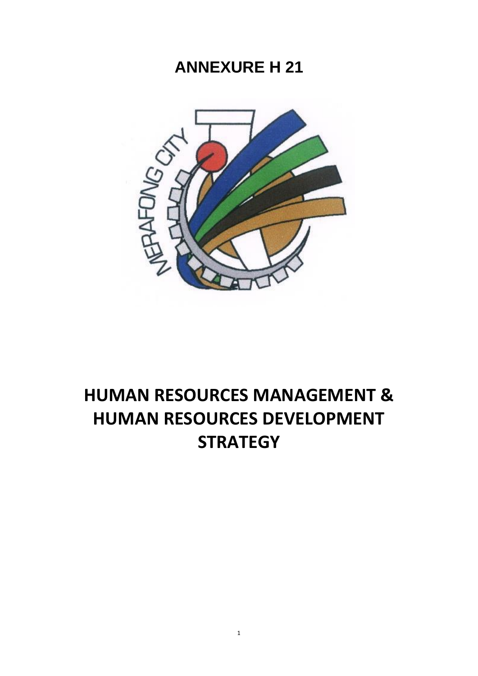## **ANNEXURE H 21**



# **HUMAN RESOURCES MANAGEMENT & HUMAN RESOURCES DEVELOPMENT STRATEGY**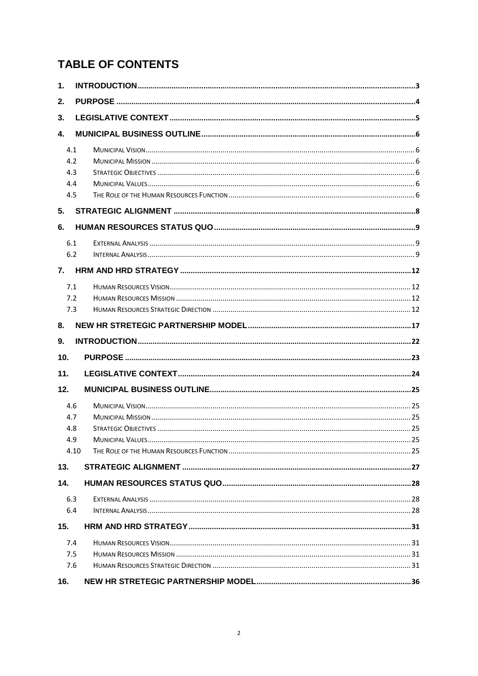## **TABLE OF CONTENTS**

| 1.                               |  |  |  |  |  |
|----------------------------------|--|--|--|--|--|
| 2.                               |  |  |  |  |  |
| 3.                               |  |  |  |  |  |
| 4.                               |  |  |  |  |  |
| 4.1<br>4.2<br>4.3<br>4.4<br>4.5  |  |  |  |  |  |
| 5.                               |  |  |  |  |  |
| 6.                               |  |  |  |  |  |
| 6.1<br>6.2                       |  |  |  |  |  |
| 7.                               |  |  |  |  |  |
| 7.1<br>7.2<br>7.3                |  |  |  |  |  |
| 8.                               |  |  |  |  |  |
|                                  |  |  |  |  |  |
| 9.                               |  |  |  |  |  |
| 10.                              |  |  |  |  |  |
| 11.                              |  |  |  |  |  |
| 12.                              |  |  |  |  |  |
| 4.6<br>4.7<br>4.8<br>4.9<br>4.10 |  |  |  |  |  |
| 13.                              |  |  |  |  |  |
| 14.                              |  |  |  |  |  |
| 6.3<br>6.4                       |  |  |  |  |  |
| 15.                              |  |  |  |  |  |
| 7.4<br>7.5<br>7.6                |  |  |  |  |  |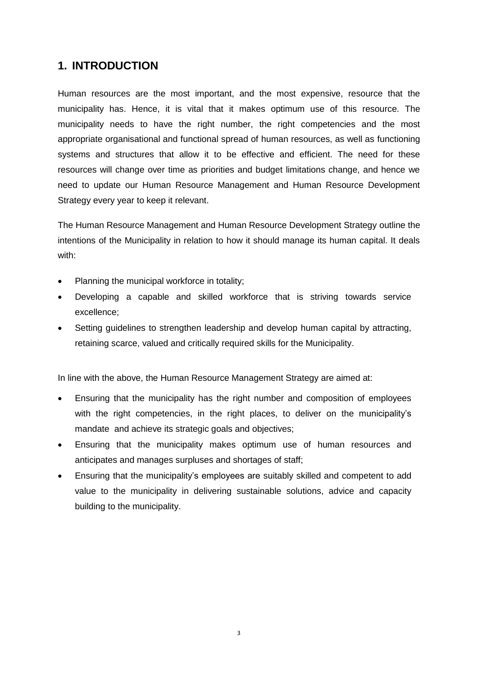## <span id="page-2-0"></span>**1. INTRODUCTION**

Human resources are the most important, and the most expensive, resource that the municipality has. Hence, it is vital that it makes optimum use of this resource. The municipality needs to have the right number, the right competencies and the most appropriate organisational and functional spread of human resources, as well as functioning systems and structures that allow it to be effective and efficient. The need for these resources will change over time as priorities and budget limitations change, and hence we need to update our Human Resource Management and Human Resource Development Strategy every year to keep it relevant.

The Human Resource Management and Human Resource Development Strategy outline the intentions of the Municipality in relation to how it should manage its human capital. It deals with:

- Planning the municipal workforce in totality;
- Developing a capable and skilled workforce that is striving towards service excellence;
- Setting guidelines to strengthen leadership and develop human capital by attracting, retaining scarce, valued and critically required skills for the Municipality.

In line with the above, the Human Resource Management Strategy are aimed at:

- Ensuring that the municipality has the right number and composition of employees with the right competencies, in the right places, to deliver on the municipality's mandate and achieve its strategic goals and objectives;
- Ensuring that the municipality makes optimum use of human resources and anticipates and manages surpluses and shortages of staff;
- Ensuring that the municipality's employees are suitably skilled and competent to add value to the municipality in delivering sustainable solutions, advice and capacity building to the municipality.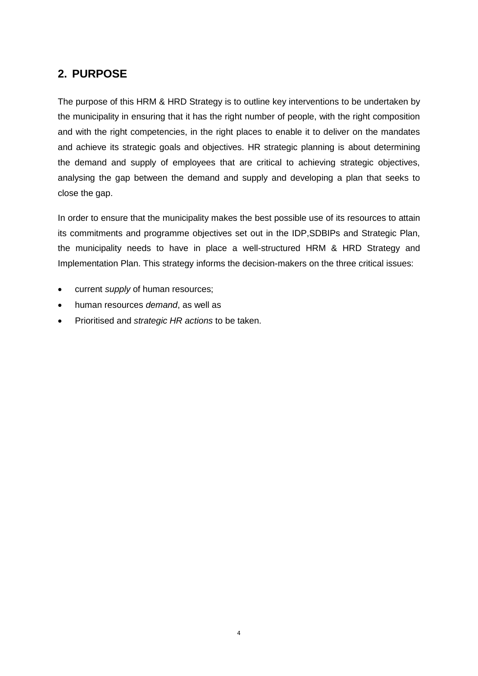## <span id="page-3-0"></span>**2. PURPOSE**

The purpose of this HRM & HRD Strategy is to outline key interventions to be undertaken by the municipality in ensuring that it has the right number of people, with the right composition and with the right competencies, in the right places to enable it to deliver on the mandates and achieve its strategic goals and objectives. HR strategic planning is about determining the demand and supply of employees that are critical to achieving strategic objectives, analysing the gap between the demand and supply and developing a plan that seeks to close the gap.

In order to ensure that the municipality makes the best possible use of its resources to attain its commitments and programme objectives set out in the IDP,SDBIPs and Strategic Plan, the municipality needs to have in place a well-structured HRM & HRD Strategy and Implementation Plan. This strategy informs the decision-makers on the three critical issues:

- current *supply* of human resources;
- human resources *demand*, as well as
- Prioritised and *strategic HR actions* to be taken.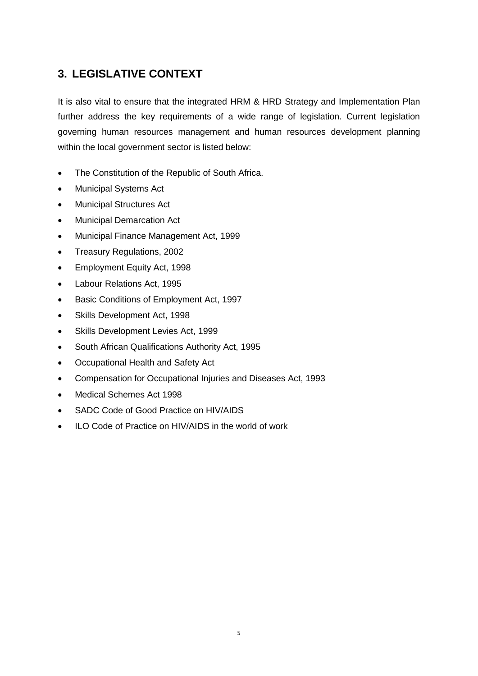## <span id="page-4-0"></span>**3. LEGISLATIVE CONTEXT**

It is also vital to ensure that the integrated HRM & HRD Strategy and Implementation Plan further address the key requirements of a wide range of legislation. Current legislation governing human resources management and human resources development planning within the local government sector is listed below:

- The Constitution of the Republic of South Africa.
- Municipal Systems Act
- Municipal Structures Act
- Municipal Demarcation Act
- Municipal Finance Management Act, 1999
- Treasury Regulations, 2002
- Employment Equity Act, 1998
- Labour Relations Act, 1995
- **•** Basic Conditions of Employment Act, 1997
- Skills Development Act, 1998
- Skills Development Levies Act, 1999
- South African Qualifications Authority Act, 1995
- Occupational Health and Safety Act
- Compensation for Occupational Injuries and Diseases Act, 1993
- Medical Schemes Act 1998
- SADC Code of Good Practice on HIV/AIDS
- ILO Code of Practice on HIV/AIDS in the world of work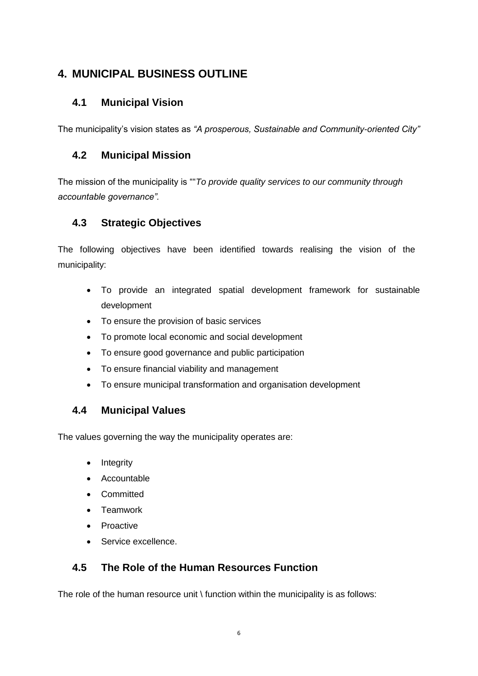## <span id="page-5-0"></span>**4. MUNICIPAL BUSINESS OUTLINE**

## <span id="page-5-1"></span>**4.1 Municipal Vision**

The municipality's vision states as *"A prosperous, Sustainable and Community-oriented City"*

## <span id="page-5-2"></span>**4.2 Municipal Mission**

The mission of the municipality is ""*To provide quality services to our community through accountable governance".*

## <span id="page-5-3"></span>**4.3 Strategic Objectives**

The following objectives have been identified towards realising the vision of the municipality:

- To provide an integrated spatial development framework for sustainable development
- To ensure the provision of basic services
- To promote local economic and social development
- To ensure good governance and public participation
- To ensure financial viability and management
- To ensure municipal transformation and organisation development

## <span id="page-5-4"></span>**4.4 Municipal Values**

The values governing the way the municipality operates are:

- Integrity
- Accountable
- Committed
- Teamwork
- Proactive
- **Service excellence.**

## <span id="page-5-5"></span>**4.5 The Role of the Human Resources Function**

The role of the human resource unit  $\iota$  function within the municipality is as follows: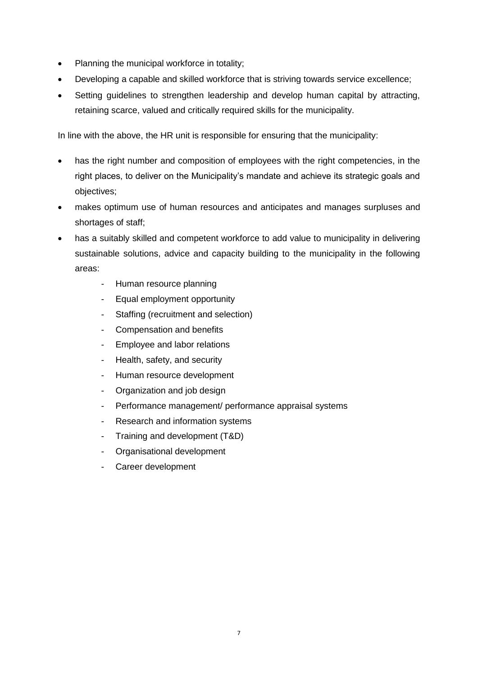- Planning the municipal workforce in totality;
- Developing a capable and skilled workforce that is striving towards service excellence;
- Setting quidelines to strengthen leadership and develop human capital by attracting, retaining scarce, valued and critically required skills for the municipality.

In line with the above, the HR unit is responsible for ensuring that the municipality:

- has the right number and composition of employees with the right competencies, in the right places, to deliver on the Municipality's mandate and achieve its strategic goals and objectives;
- makes optimum use of human resources and anticipates and manages surpluses and shortages of staff;
- has a suitably skilled and competent workforce to add value to municipality in delivering sustainable solutions, advice and capacity building to the municipality in the following areas:
	- Human resource planning
	- Equal employment opportunity
	- Staffing (recruitment and selection)
	- Compensation and benefits
	- Employee and labor relations
	- Health, safety, and security
	- Human resource development
	- Organization and job design
	- Performance management/ performance appraisal systems
	- Research and information systems
	- Training and development (T&D)
	- Organisational development
	- Career development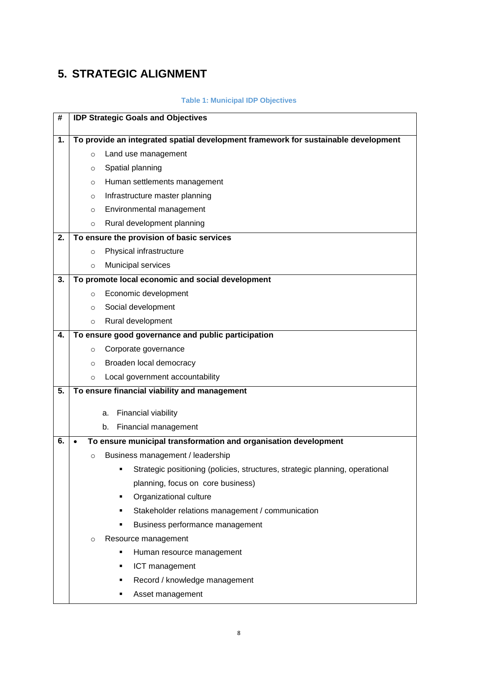## <span id="page-7-0"></span>**5. STRATEGIC ALIGNMENT**

### **Table 1: Municipal IDP Objectives**

| #  | <b>IDP Strategic Goals and Objectives</b> |                                                                                    |  |  |  |  |
|----|-------------------------------------------|------------------------------------------------------------------------------------|--|--|--|--|
| 1. |                                           | To provide an integrated spatial development framework for sustainable development |  |  |  |  |
|    | $\circ$                                   | Land use management                                                                |  |  |  |  |
|    | O                                         | Spatial planning                                                                   |  |  |  |  |
|    | O                                         | Human settlements management                                                       |  |  |  |  |
|    | $\circ$                                   | Infrastructure master planning                                                     |  |  |  |  |
|    | $\circ$                                   | Environmental management                                                           |  |  |  |  |
|    | $\circ$                                   | Rural development planning                                                         |  |  |  |  |
| 2. |                                           | To ensure the provision of basic services                                          |  |  |  |  |
|    | $\circ$                                   | Physical infrastructure                                                            |  |  |  |  |
|    | $\circ$                                   | Municipal services                                                                 |  |  |  |  |
| 3. |                                           | To promote local economic and social development                                   |  |  |  |  |
|    | $\circ$                                   | Economic development                                                               |  |  |  |  |
|    | O                                         | Social development                                                                 |  |  |  |  |
|    | $\circ$                                   | Rural development                                                                  |  |  |  |  |
| 4. |                                           | To ensure good governance and public participation                                 |  |  |  |  |
|    | $\circ$                                   | Corporate governance                                                               |  |  |  |  |
|    | $\circ$                                   | Broaden local democracy                                                            |  |  |  |  |
|    | $\circ$                                   | Local government accountability                                                    |  |  |  |  |
| 5. |                                           | To ensure financial viability and management                                       |  |  |  |  |
|    |                                           | Financial viability<br>a.                                                          |  |  |  |  |
|    |                                           | Financial management<br>b.                                                         |  |  |  |  |
| 6. |                                           | To ensure municipal transformation and organisation development                    |  |  |  |  |
|    | $\circ$                                   | Business management / leadership                                                   |  |  |  |  |
|    |                                           | Strategic positioning (policies, structures, strategic planning, operational<br>٠  |  |  |  |  |
|    |                                           | planning, focus on core business)                                                  |  |  |  |  |
|    |                                           | Organizational culture<br>٠                                                        |  |  |  |  |
|    |                                           | Stakeholder relations management / communication<br>٠                              |  |  |  |  |
|    |                                           | Business performance management<br>٠                                               |  |  |  |  |
|    | $\circ$                                   | Resource management                                                                |  |  |  |  |
|    |                                           | Human resource management<br>٠                                                     |  |  |  |  |
|    |                                           | ICT management<br>٠                                                                |  |  |  |  |
|    |                                           | Record / knowledge management<br>٠                                                 |  |  |  |  |
|    |                                           | Asset management                                                                   |  |  |  |  |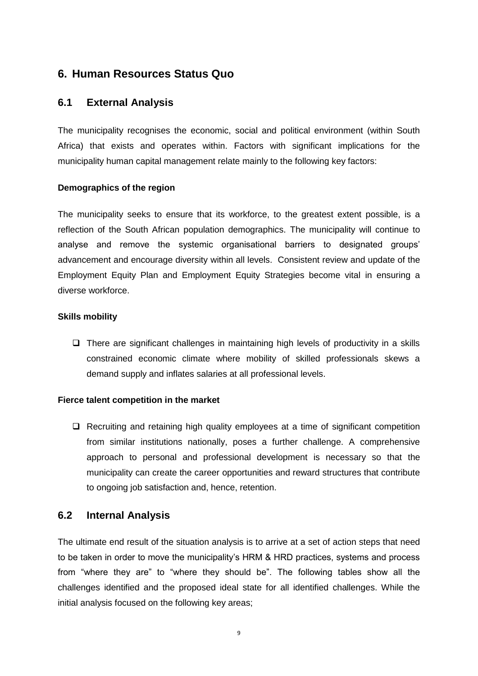## <span id="page-8-0"></span>**6. Human Resources Status Quo**

## <span id="page-8-1"></span>**6.1 External Analysis**

The municipality recognises the economic, social and political environment (within South Africa) that exists and operates within. Factors with significant implications for the municipality human capital management relate mainly to the following key factors:

### **Demographics of the region**

The municipality seeks to ensure that its workforce, to the greatest extent possible, is a reflection of the South African population demographics. The municipality will continue to analyse and remove the systemic organisational barriers to designated groups' advancement and encourage diversity within all levels. Consistent review and update of the Employment Equity Plan and Employment Equity Strategies become vital in ensuring a diverse workforce.

### **Skills mobility**

 $\Box$  There are significant challenges in maintaining high levels of productivity in a skills constrained economic climate where mobility of skilled professionals skews a demand supply and inflates salaries at all professional levels.

#### **Fierce talent competition in the market**

 $\Box$  Recruiting and retaining high quality employees at a time of significant competition from similar institutions nationally, poses a further challenge. A comprehensive approach to personal and professional development is necessary so that the municipality can create the career opportunities and reward structures that contribute to ongoing job satisfaction and, hence, retention.

### <span id="page-8-2"></span>**6.2 Internal Analysis**

The ultimate end result of the situation analysis is to arrive at a set of action steps that need to be taken in order to move the municipality's HRM & HRD practices, systems and process from "where they are" to "where they should be". The following tables show all the challenges identified and the proposed ideal state for all identified challenges. While the initial analysis focused on the following key areas;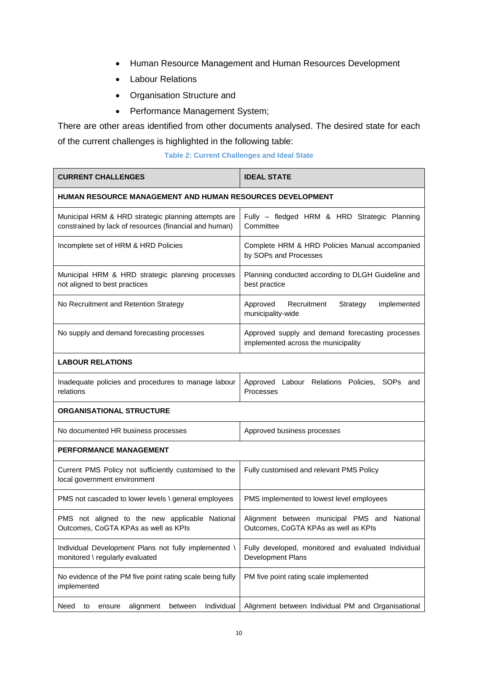- Human Resource Management and Human Resources Development
- Labour Relations
- Organisation Structure and
- Performance Management System;

There are other areas identified from other documents analysed. The desired state for each of the current challenges is highlighted in the following table:

| <b>Table 2: Current Challenges and Ideal State</b> |  |  |  |
|----------------------------------------------------|--|--|--|
|----------------------------------------------------|--|--|--|

| <b>CURRENT CHALLENGES</b>                                                                                     | <b>IDEAL STATE</b>                                                                      |  |
|---------------------------------------------------------------------------------------------------------------|-----------------------------------------------------------------------------------------|--|
| <b>HUMAN RESOURCE MANAGEMENT AND HUMAN RESOURCES DEVELOPMENT</b>                                              |                                                                                         |  |
| Municipal HRM & HRD strategic planning attempts are<br>constrained by lack of resources (financial and human) | Fully - fledged HRM & HRD Strategic Planning<br>Committee                               |  |
| Incomplete set of HRM & HRD Policies                                                                          | Complete HRM & HRD Policies Manual accompanied<br>by SOPs and Processes                 |  |
| Municipal HRM & HRD strategic planning processes<br>not aligned to best practices                             | Planning conducted according to DLGH Guideline and<br>best practice                     |  |
| No Recruitment and Retention Strategy                                                                         | Approved<br>Recruitment<br>Strategy<br>implemented<br>municipality-wide                 |  |
| No supply and demand forecasting processes                                                                    | Approved supply and demand forecasting processes<br>implemented across the municipality |  |
| <b>LABOUR RELATIONS</b>                                                                                       |                                                                                         |  |
| Inadequate policies and procedures to manage labour<br>relations                                              | Approved Labour Relations Policies, SOPs and<br>Processes                               |  |
| <b>ORGANISATIONAL STRUCTURE</b>                                                                               |                                                                                         |  |
| No documented HR business processes                                                                           | Approved business processes                                                             |  |
| <b>PERFORMANCE MANAGEMENT</b>                                                                                 |                                                                                         |  |
| Current PMS Policy not sufficiently customised to the<br>local government environment                         | Fully customised and relevant PMS Policy                                                |  |
| PMS not cascaded to lower levels \ general employees                                                          | PMS implemented to lowest level employees                                               |  |
| PMS not aligned to the new applicable National<br>Outcomes, CoGTA KPAs as well as KPIs                        | Alignment between municipal PMS and National<br>Outcomes, CoGTA KPAs as well as KPIs    |  |
| Individual Development Plans not fully implemented \<br>monitored \ regularly evaluated                       | Fully developed, monitored and evaluated Individual<br>Development Plans                |  |
| No evidence of the PM five point rating scale being fully<br>implemented                                      | PM five point rating scale implemented                                                  |  |
| Individual<br>Need<br>alignment<br>between<br>to<br>ensure                                                    | Alignment between Individual PM and Organisational                                      |  |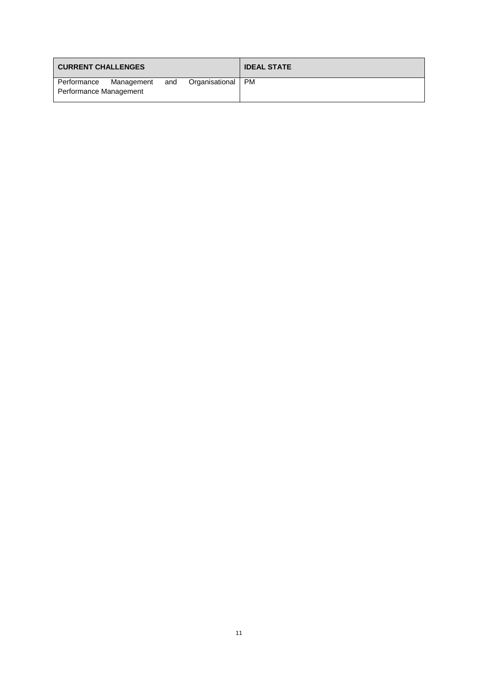| <b>CURRENT CHALLENGES</b> |            |     |                | <b>IDEAL STATE</b> |
|---------------------------|------------|-----|----------------|--------------------|
| Performance               | Management | and | Organisational | <b>PM</b>          |
| Performance Management    |            |     |                |                    |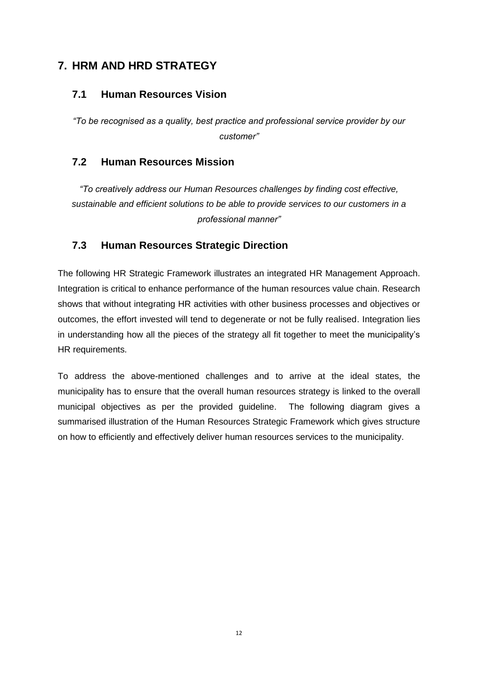## <span id="page-11-0"></span>**7. HRM AND HRD STRATEGY**

## <span id="page-11-1"></span>**7.1 Human Resources Vision**

*"To be recognised as a quality, best practice and professional service provider by our customer"*

## <span id="page-11-2"></span>**7.2 Human Resources Mission**

*"To creatively address our Human Resources challenges by finding cost effective, sustainable and efficient solutions to be able to provide services to our customers in a professional manner"*

## <span id="page-11-3"></span>**7.3 Human Resources Strategic Direction**

The following HR Strategic Framework illustrates an integrated HR Management Approach. Integration is critical to enhance performance of the human resources value chain. Research shows that without integrating HR activities with other business processes and objectives or outcomes, the effort invested will tend to degenerate or not be fully realised. Integration lies in understanding how all the pieces of the strategy all fit together to meet the municipality's HR requirements.

To address the above-mentioned challenges and to arrive at the ideal states, the municipality has to ensure that the overall human resources strategy is linked to the overall municipal objectives as per the provided guideline. The following diagram gives a summarised illustration of the Human Resources Strategic Framework which gives structure on how to efficiently and effectively deliver human resources services to the municipality.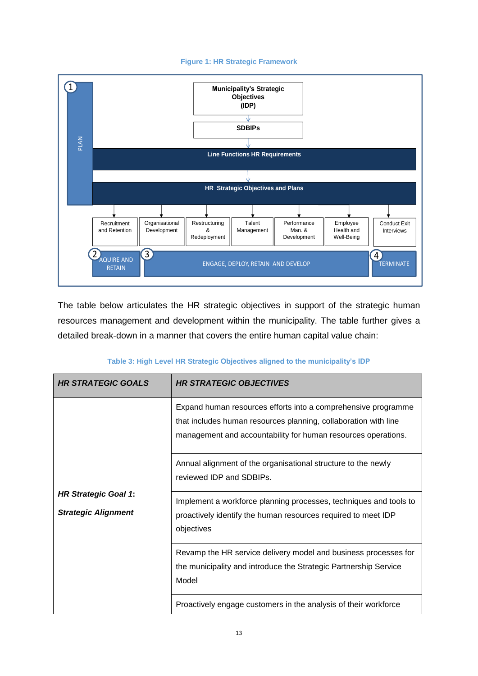#### **Figure 1: HR Strategic Framework**



The table below articulates the HR strategic objectives in support of the strategic human resources management and development within the municipality. The table further gives a detailed break-down in a manner that covers the entire human capital value chain:

#### **Table 3: High Level HR Strategic Objectives aligned to the municipality's IDP**

| <b>HR STRATEGIC GOALS</b>                                 | <b>HR STRATEGIC OBJECTIVES</b>                                                                                                                                                                    |
|-----------------------------------------------------------|---------------------------------------------------------------------------------------------------------------------------------------------------------------------------------------------------|
|                                                           | Expand human resources efforts into a comprehensive programme<br>that includes human resources planning, collaboration with line<br>management and accountability for human resources operations. |
|                                                           | Annual alignment of the organisational structure to the newly<br>reviewed IDP and SDBIPs.                                                                                                         |
| <b>HR Strategic Goal 1:</b><br><b>Strategic Alignment</b> | Implement a workforce planning processes, techniques and tools to<br>proactively identify the human resources required to meet IDP<br>objectives                                                  |
|                                                           | Revamp the HR service delivery model and business processes for<br>the municipality and introduce the Strategic Partnership Service<br>Model                                                      |
|                                                           | Proactively engage customers in the analysis of their workforce                                                                                                                                   |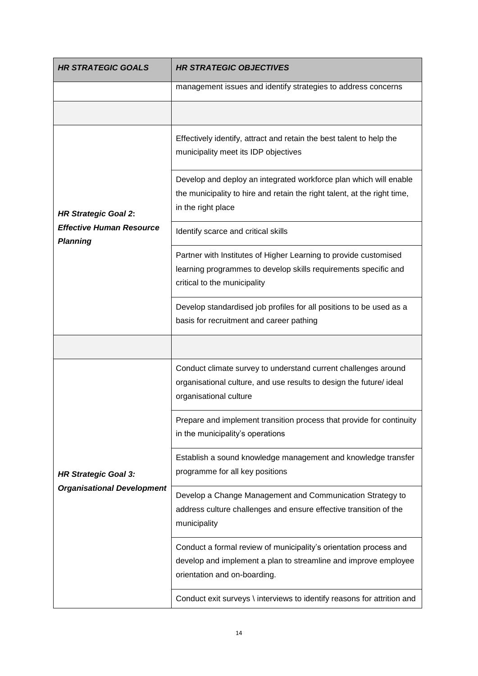| <b>HR STRATEGIC GOALS</b>                          | <b>HR STRATEGIC OBJECTIVES</b>                                                                                                                                       |  |
|----------------------------------------------------|----------------------------------------------------------------------------------------------------------------------------------------------------------------------|--|
|                                                    | management issues and identify strategies to address concerns                                                                                                        |  |
|                                                    |                                                                                                                                                                      |  |
|                                                    | Effectively identify, attract and retain the best talent to help the<br>municipality meet its IDP objectives                                                         |  |
| <b>HR Strategic Goal 2:</b>                        | Develop and deploy an integrated workforce plan which will enable<br>the municipality to hire and retain the right talent, at the right time,<br>in the right place  |  |
| <b>Effective Human Resource</b><br><b>Planning</b> | Identify scarce and critical skills                                                                                                                                  |  |
|                                                    | Partner with Institutes of Higher Learning to provide customised<br>learning programmes to develop skills requirements specific and<br>critical to the municipality  |  |
|                                                    | Develop standardised job profiles for all positions to be used as a<br>basis for recruitment and career pathing                                                      |  |
|                                                    |                                                                                                                                                                      |  |
|                                                    | Conduct climate survey to understand current challenges around<br>organisational culture, and use results to design the future/ ideal<br>organisational culture      |  |
|                                                    | Prepare and implement transition process that provide for continuity<br>in the municipality's operations                                                             |  |
| <b>HR Strategic Goal 3:</b>                        | Establish a sound knowledge management and knowledge transfer<br>programme for all key positions                                                                     |  |
| <b>Organisational Development</b>                  | Develop a Change Management and Communication Strategy to<br>address culture challenges and ensure effective transition of the<br>municipality                       |  |
|                                                    | Conduct a formal review of municipality's orientation process and<br>develop and implement a plan to streamline and improve employee<br>orientation and on-boarding. |  |
|                                                    | Conduct exit surveys \ interviews to identify reasons for attrition and                                                                                              |  |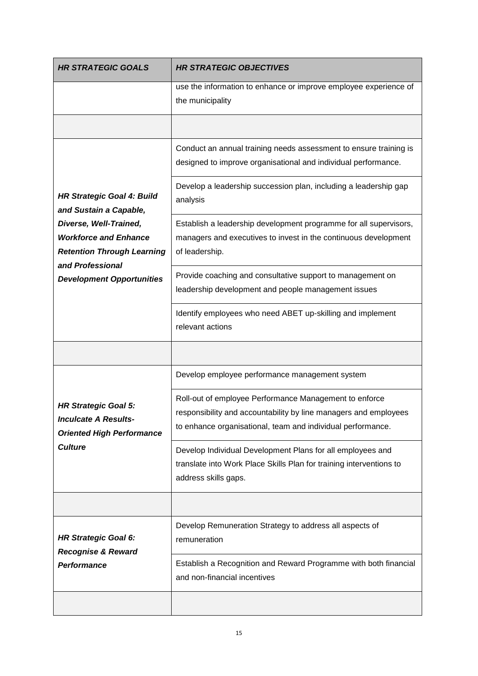| <b>HR STRATEGIC GOALS</b>                                                                                       | <b>HR STRATEGIC OBJECTIVES</b>                                                                                                                                                            |
|-----------------------------------------------------------------------------------------------------------------|-------------------------------------------------------------------------------------------------------------------------------------------------------------------------------------------|
|                                                                                                                 | use the information to enhance or improve employee experience of<br>the municipality                                                                                                      |
|                                                                                                                 |                                                                                                                                                                                           |
|                                                                                                                 | Conduct an annual training needs assessment to ensure training is<br>designed to improve organisational and individual performance.                                                       |
| <b>HR Strategic Goal 4: Build</b><br>and Sustain a Capable,                                                     | Develop a leadership succession plan, including a leadership gap<br>analysis                                                                                                              |
| Diverse, Well-Trained,<br><b>Workforce and Enhance</b><br><b>Retention Through Learning</b><br>and Professional | Establish a leadership development programme for all supervisors,<br>managers and executives to invest in the continuous development<br>of leadership.                                    |
| <b>Development Opportunities</b>                                                                                | Provide coaching and consultative support to management on<br>leadership development and people management issues                                                                         |
|                                                                                                                 | Identify employees who need ABET up-skilling and implement<br>relevant actions                                                                                                            |
|                                                                                                                 |                                                                                                                                                                                           |
|                                                                                                                 | Develop employee performance management system                                                                                                                                            |
| <b>HR Strategic Goal 5:</b><br><b>Inculcate A Results-</b><br><b>Oriented High Performance</b>                  | Roll-out of employee Performance Management to enforce<br>responsibility and accountability by line managers and employees<br>to enhance organisational, team and individual performance. |
| <b>Culture</b>                                                                                                  | Develop Individual Development Plans for all employees and<br>translate into Work Place Skills Plan for training interventions to<br>address skills gaps.                                 |
|                                                                                                                 |                                                                                                                                                                                           |
| <b>HR Strategic Goal 6:</b><br><b>Recognise &amp; Reward</b>                                                    | Develop Remuneration Strategy to address all aspects of<br>remuneration                                                                                                                   |
| Performance                                                                                                     | Establish a Recognition and Reward Programme with both financial<br>and non-financial incentives                                                                                          |
|                                                                                                                 |                                                                                                                                                                                           |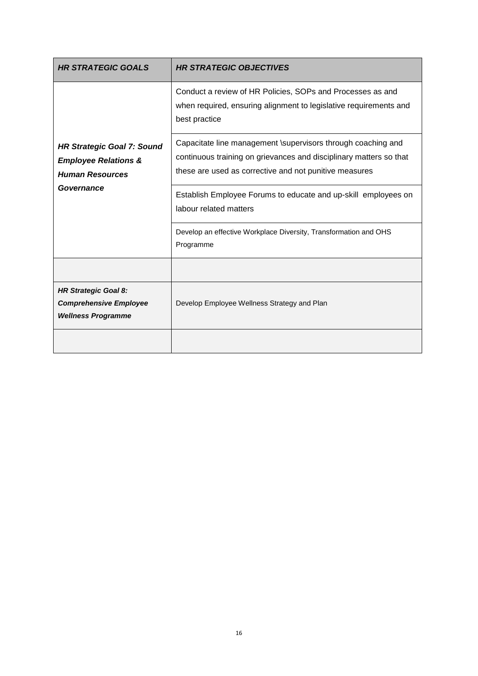| <b>HR STRATEGIC GOALS</b>                                                                      | <b>HR STRATEGIC OBJECTIVES</b>                                                                                                                                                               |  |
|------------------------------------------------------------------------------------------------|----------------------------------------------------------------------------------------------------------------------------------------------------------------------------------------------|--|
|                                                                                                | Conduct a review of HR Policies, SOPs and Processes as and<br>when required, ensuring alignment to legislative requirements and<br>best practice                                             |  |
| <b>HR Strategic Goal 7: Sound</b><br><b>Employee Relations &amp;</b><br><b>Human Resources</b> | Capacitate line management \supervisors through coaching and<br>continuous training on grievances and disciplinary matters so that<br>these are used as corrective and not punitive measures |  |
| Governance                                                                                     | Establish Employee Forums to educate and up-skill employees on<br>labour related matters                                                                                                     |  |
|                                                                                                | Develop an effective Workplace Diversity, Transformation and OHS<br>Programme                                                                                                                |  |
|                                                                                                |                                                                                                                                                                                              |  |
| <b>HR Strategic Goal 8:</b><br><b>Comprehensive Employee</b><br><b>Wellness Programme</b>      | Develop Employee Wellness Strategy and Plan                                                                                                                                                  |  |
|                                                                                                |                                                                                                                                                                                              |  |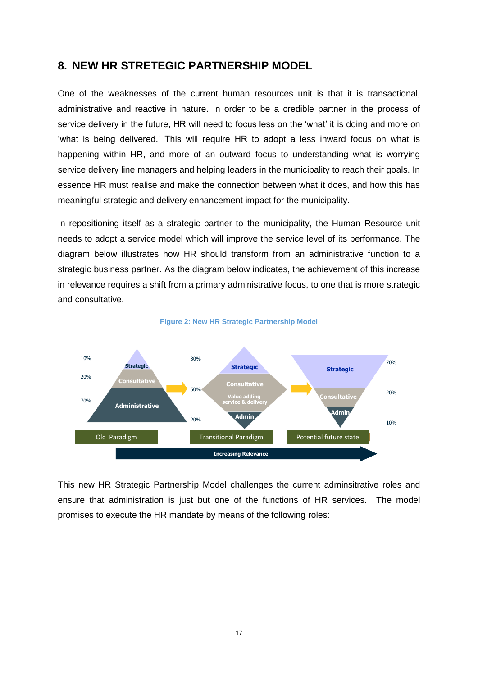### <span id="page-16-0"></span>**8. NEW HR STRETEGIC PARTNERSHIP MODEL**

One of the weaknesses of the current human resources unit is that it is transactional, administrative and reactive in nature. In order to be a credible partner in the process of service delivery in the future, HR will need to focus less on the 'what' it is doing and more on 'what is being delivered.' This will require HR to adopt a less inward focus on what is happening within HR, and more of an outward focus to understanding what is worrying service delivery line managers and helping leaders in the municipality to reach their goals. In essence HR must realise and make the connection between what it does, and how this has meaningful strategic and delivery enhancement impact for the municipality.

In repositioning itself as a strategic partner to the municipality, the Human Resource unit needs to adopt a service model which will improve the service level of its performance. The diagram below illustrates how HR should transform from an administrative function to a strategic business partner. As the diagram below indicates, the achievement of this increase in relevance requires a shift from a primary administrative focus, to one that is more strategic and consultative.



#### **Figure 2: New HR Strategic Partnership Model**

This new HR Strategic Partnership Model challenges the current adminsitrative roles and ensure that administration is just but one of the functions of HR services. The model promises to execute the HR mandate by means of the following roles: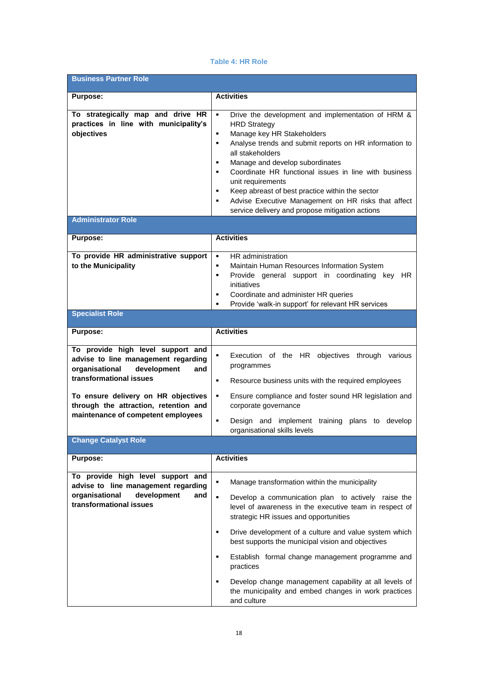#### **Table 4: HR Role**

| <b>Business Partner Role</b>                                                                                                                                                                                                                                      |                                                                                                                                                                                                                                                                                                                                                                                                                                                                                                                                                             |  |  |  |
|-------------------------------------------------------------------------------------------------------------------------------------------------------------------------------------------------------------------------------------------------------------------|-------------------------------------------------------------------------------------------------------------------------------------------------------------------------------------------------------------------------------------------------------------------------------------------------------------------------------------------------------------------------------------------------------------------------------------------------------------------------------------------------------------------------------------------------------------|--|--|--|
| <b>Purpose:</b>                                                                                                                                                                                                                                                   | <b>Activities</b>                                                                                                                                                                                                                                                                                                                                                                                                                                                                                                                                           |  |  |  |
| To strategically map and drive HR<br>practices in line with municipality's<br>objectives                                                                                                                                                                          | Drive the development and implementation of HRM &<br>$\blacksquare$<br><b>HRD Strategy</b><br>Manage key HR Stakeholders<br>٠<br>Analyse trends and submit reports on HR information to<br>٠<br>all stakeholders<br>Manage and develop subordinates<br>٠<br>Coordinate HR functional issues in line with business<br>٠<br>unit requirements<br>Keep abreast of best practice within the sector<br>٠<br>Advise Executive Management on HR risks that affect<br>٠<br>service delivery and propose mitigation actions                                          |  |  |  |
| <b>Administrator Role</b>                                                                                                                                                                                                                                         |                                                                                                                                                                                                                                                                                                                                                                                                                                                                                                                                                             |  |  |  |
| <b>Purpose:</b>                                                                                                                                                                                                                                                   | <b>Activities</b>                                                                                                                                                                                                                                                                                                                                                                                                                                                                                                                                           |  |  |  |
| To provide HR administrative support<br>to the Municipality                                                                                                                                                                                                       | HR administration<br>$\blacksquare$<br>Maintain Human Resources Information System<br>٠<br>Provide general support in coordinating key HR<br>٠<br>initiatives<br>Coordinate and administer HR queries<br>٠<br>Provide 'walk-in support' for relevant HR services<br>٠                                                                                                                                                                                                                                                                                       |  |  |  |
| <b>Specialist Role</b>                                                                                                                                                                                                                                            |                                                                                                                                                                                                                                                                                                                                                                                                                                                                                                                                                             |  |  |  |
| <b>Purpose:</b>                                                                                                                                                                                                                                                   | <b>Activities</b>                                                                                                                                                                                                                                                                                                                                                                                                                                                                                                                                           |  |  |  |
| To provide high level support and<br>advise to line management regarding<br>organisational<br>development<br>and<br>transformational issues<br>To ensure delivery on HR objectives<br>through the attraction, retention and<br>maintenance of competent employees | Execution of the HR objectives through various<br>٠<br>programmes<br>Resource business units with the required employees<br>٠<br>٠<br>Ensure compliance and foster sound HR legislation and<br>corporate governance<br>Design and implement training plans to develop<br>٠                                                                                                                                                                                                                                                                                  |  |  |  |
| <b>Change Catalyst Role</b>                                                                                                                                                                                                                                       | organisational skills levels                                                                                                                                                                                                                                                                                                                                                                                                                                                                                                                                |  |  |  |
| <b>Purpose:</b>                                                                                                                                                                                                                                                   | <b>Activities</b>                                                                                                                                                                                                                                                                                                                                                                                                                                                                                                                                           |  |  |  |
| To provide high level support and                                                                                                                                                                                                                                 |                                                                                                                                                                                                                                                                                                                                                                                                                                                                                                                                                             |  |  |  |
| advise to line management regarding<br>organisational<br>development<br>and<br>transformational issues                                                                                                                                                            | ٠<br>Manage transformation within the municipality<br>$\blacksquare$<br>Develop a communication plan to actively raise the<br>level of awareness in the executive team in respect of<br>strategic HR issues and opportunities<br>Drive development of a culture and value system which<br>٠<br>best supports the municipal vision and objectives<br>Establish formal change management programme and<br>٠<br>practices<br>Develop change management capability at all levels of<br>٠<br>the municipality and embed changes in work practices<br>and culture |  |  |  |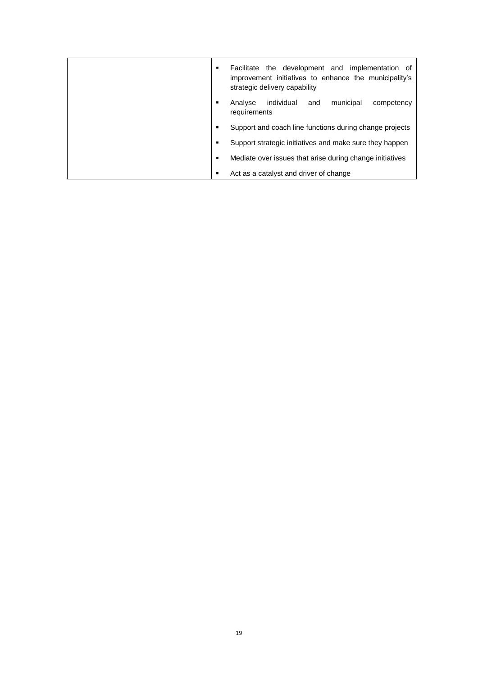| ٠              | Facilitate the development and implementation of<br>improvement initiatives to enhance the municipality's<br>strategic delivery capability |
|----------------|--------------------------------------------------------------------------------------------------------------------------------------------|
| $\blacksquare$ | individual<br>municipal<br>Analyse<br>and<br>competency<br>requirements                                                                    |
| ٠              | Support and coach line functions during change projects                                                                                    |
| ٠              | Support strategic initiatives and make sure they happen                                                                                    |
| ٠              | Mediate over issues that arise during change initiatives                                                                                   |
| ٠              | Act as a catalyst and driver of change                                                                                                     |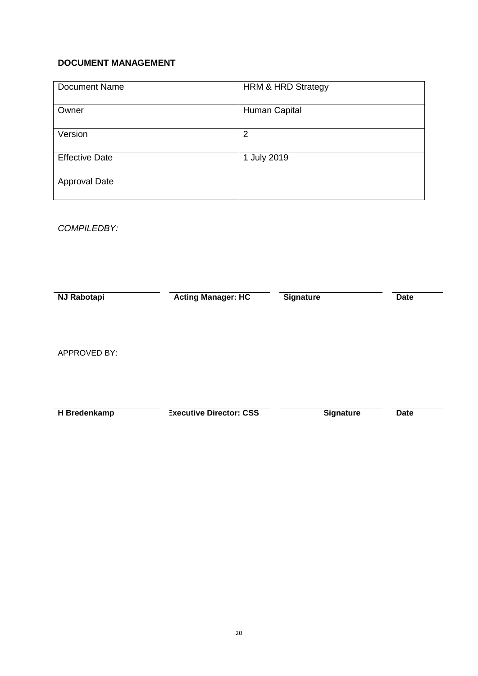### **DOCUMENT MANAGEMENT**

| <b>Document Name</b>  | <b>HRM &amp; HRD Strategy</b> |
|-----------------------|-------------------------------|
| Owner                 | Human Capital                 |
| Version               | 2                             |
| <b>Effective Date</b> | 1 July 2019                   |
| <b>Approval Date</b>  |                               |

## *COMPILEDBY:*

| <b>NJ Rabotapi</b>  | <b>Acting Manager: HC</b>      | <b>Signature</b> | <b>Date</b> |
|---------------------|--------------------------------|------------------|-------------|
| <b>APPROVED BY:</b> |                                |                  |             |
| H Bredenkamp        | <b>Executive Director: CSS</b> | <b>Signature</b> | <b>Date</b> |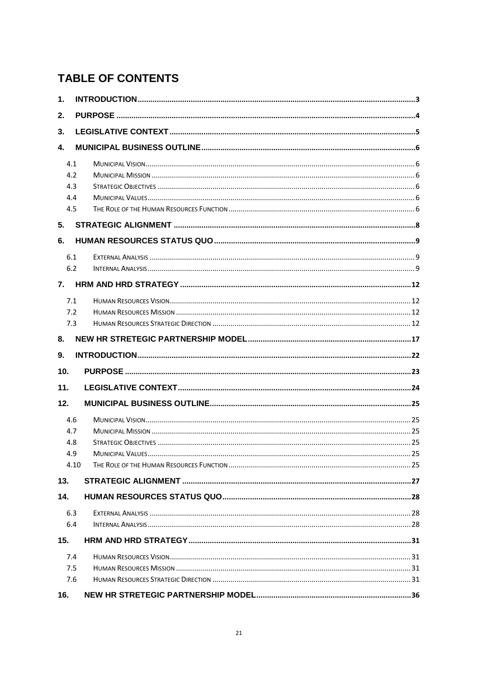## **TABLE OF CONTENTS**

| 1.              |  |
|-----------------|--|
| 2.              |  |
| 3.              |  |
| $\mathbf{4}$    |  |
| 4.1             |  |
| 4.2             |  |
| 4.3             |  |
| 4.4             |  |
| 4.5             |  |
| 5.              |  |
| 6.              |  |
| 6.1             |  |
| 6.2             |  |
| 7.              |  |
| 7.1             |  |
| 7.2             |  |
| 7.3             |  |
| 8.              |  |
|                 |  |
| 9.              |  |
| 10 <sub>1</sub> |  |
| 11.             |  |
| 12.             |  |
| 4.6             |  |
| 4.7             |  |
| 4.8             |  |
| 4.9             |  |
| 4.10            |  |
| 13.             |  |
| 14.             |  |
| 6.3             |  |
| 6.4             |  |
| 15.             |  |
| 7.4             |  |
| 7.5             |  |
| 7.6             |  |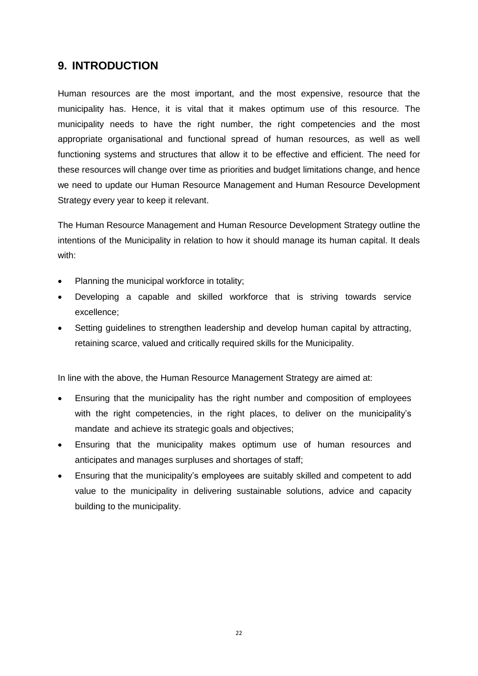## <span id="page-21-0"></span>**9. INTRODUCTION**

Human resources are the most important, and the most expensive, resource that the municipality has. Hence, it is vital that it makes optimum use of this resource. The municipality needs to have the right number, the right competencies and the most appropriate organisational and functional spread of human resources, as well as well functioning systems and structures that allow it to be effective and efficient. The need for these resources will change over time as priorities and budget limitations change, and hence we need to update our Human Resource Management and Human Resource Development Strategy every year to keep it relevant.

The Human Resource Management and Human Resource Development Strategy outline the intentions of the Municipality in relation to how it should manage its human capital. It deals with:

- Planning the municipal workforce in totality;
- Developing a capable and skilled workforce that is striving towards service excellence;
- Setting guidelines to strengthen leadership and develop human capital by attracting, retaining scarce, valued and critically required skills for the Municipality.

In line with the above, the Human Resource Management Strategy are aimed at:

- Ensuring that the municipality has the right number and composition of employees with the right competencies, in the right places, to deliver on the municipality's mandate and achieve its strategic goals and objectives;
- Ensuring that the municipality makes optimum use of human resources and anticipates and manages surpluses and shortages of staff;
- Ensuring that the municipality's employees are suitably skilled and competent to add value to the municipality in delivering sustainable solutions, advice and capacity building to the municipality.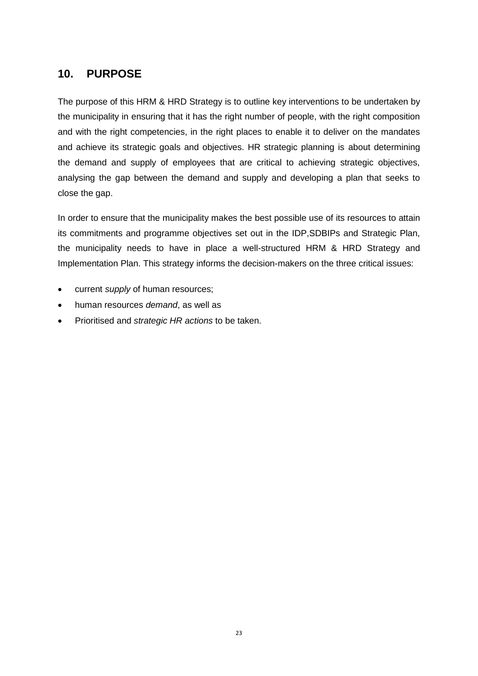## <span id="page-22-0"></span>**10. PURPOSE**

The purpose of this HRM & HRD Strategy is to outline key interventions to be undertaken by the municipality in ensuring that it has the right number of people, with the right composition and with the right competencies, in the right places to enable it to deliver on the mandates and achieve its strategic goals and objectives. HR strategic planning is about determining the demand and supply of employees that are critical to achieving strategic objectives, analysing the gap between the demand and supply and developing a plan that seeks to close the gap.

In order to ensure that the municipality makes the best possible use of its resources to attain its commitments and programme objectives set out in the IDP,SDBIPs and Strategic Plan, the municipality needs to have in place a well-structured HRM & HRD Strategy and Implementation Plan. This strategy informs the decision-makers on the three critical issues:

- current *supply* of human resources;
- human resources *demand*, as well as
- Prioritised and *strategic HR actions* to be taken.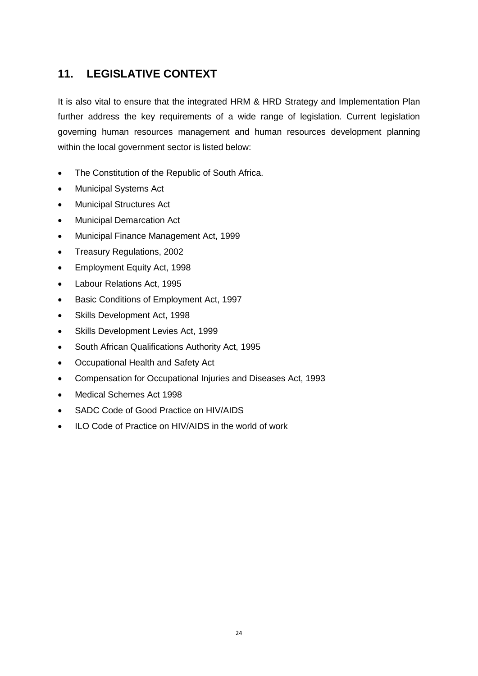## <span id="page-23-0"></span>**11. LEGISLATIVE CONTEXT**

It is also vital to ensure that the integrated HRM & HRD Strategy and Implementation Plan further address the key requirements of a wide range of legislation. Current legislation governing human resources management and human resources development planning within the local government sector is listed below:

- The Constitution of the Republic of South Africa.
- Municipal Systems Act
- Municipal Structures Act
- Municipal Demarcation Act
- Municipal Finance Management Act, 1999
- Treasury Regulations, 2002
- Employment Equity Act, 1998
- Labour Relations Act, 1995
- **Basic Conditions of Employment Act, 1997**
- Skills Development Act, 1998
- Skills Development Levies Act, 1999
- South African Qualifications Authority Act, 1995
- Occupational Health and Safety Act
- Compensation for Occupational Injuries and Diseases Act, 1993
- Medical Schemes Act 1998
- SADC Code of Good Practice on HIV/AIDS
- ILO Code of Practice on HIV/AIDS in the world of work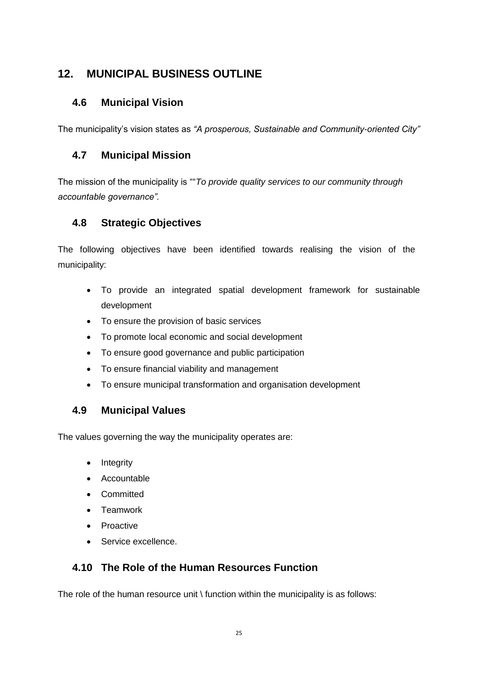## <span id="page-24-0"></span>**12. MUNICIPAL BUSINESS OUTLINE**

## <span id="page-24-1"></span>**4.6 Municipal Vision**

The municipality's vision states as *"A prosperous, Sustainable and Community-oriented City"*

## <span id="page-24-2"></span>**4.7 Municipal Mission**

The mission of the municipality is ""*To provide quality services to our community through accountable governance".*

## <span id="page-24-3"></span>**4.8 Strategic Objectives**

The following objectives have been identified towards realising the vision of the municipality:

- To provide an integrated spatial development framework for sustainable development
- To ensure the provision of basic services
- To promote local economic and social development
- To ensure good governance and public participation
- To ensure financial viability and management
- To ensure municipal transformation and organisation development

## <span id="page-24-4"></span>**4.9 Municipal Values**

The values governing the way the municipality operates are:

- Integrity
- Accountable
- Committed
- Teamwork
- Proactive
- **Service excellence.**

## <span id="page-24-5"></span>**4.10 The Role of the Human Resources Function**

The role of the human resource unit  $\iota$  function within the municipality is as follows: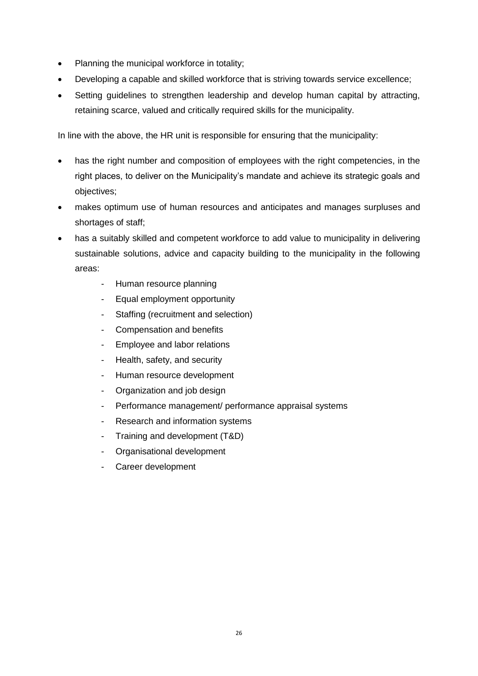- Planning the municipal workforce in totality;
- Developing a capable and skilled workforce that is striving towards service excellence;
- Setting quidelines to strengthen leadership and develop human capital by attracting, retaining scarce, valued and critically required skills for the municipality.

In line with the above, the HR unit is responsible for ensuring that the municipality:

- has the right number and composition of employees with the right competencies, in the right places, to deliver on the Municipality's mandate and achieve its strategic goals and objectives;
- makes optimum use of human resources and anticipates and manages surpluses and shortages of staff;
- has a suitably skilled and competent workforce to add value to municipality in delivering sustainable solutions, advice and capacity building to the municipality in the following areas:
	- Human resource planning
	- Equal employment opportunity
	- Staffing (recruitment and selection)
	- Compensation and benefits
	- Employee and labor relations
	- Health, safety, and security
	- Human resource development
	- Organization and job design
	- Performance management/ performance appraisal systems
	- Research and information systems
	- Training and development (T&D)
	- Organisational development
	- Career development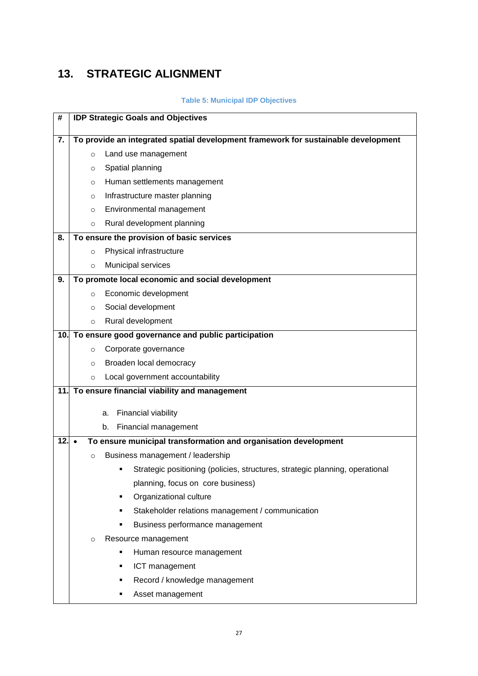## <span id="page-26-0"></span>**13. STRATEGIC ALIGNMENT**

### **Table 5: Municipal IDP Objectives**

| #       |         | <b>IDP Strategic Goals and Objectives</b>                                          |  |  |  |  |
|---------|---------|------------------------------------------------------------------------------------|--|--|--|--|
| 7.      |         | To provide an integrated spatial development framework for sustainable development |  |  |  |  |
|         | $\circ$ | Land use management                                                                |  |  |  |  |
|         | $\circ$ | Spatial planning                                                                   |  |  |  |  |
|         | $\circ$ | Human settlements management                                                       |  |  |  |  |
|         | $\circ$ | Infrastructure master planning                                                     |  |  |  |  |
|         | $\circ$ | Environmental management                                                           |  |  |  |  |
|         | $\circ$ | Rural development planning                                                         |  |  |  |  |
| 8.      |         | To ensure the provision of basic services                                          |  |  |  |  |
|         | $\circ$ | Physical infrastructure                                                            |  |  |  |  |
|         | $\circ$ | Municipal services                                                                 |  |  |  |  |
| 9.      |         | To promote local economic and social development                                   |  |  |  |  |
|         | $\circ$ | Economic development                                                               |  |  |  |  |
|         | $\circ$ | Social development                                                                 |  |  |  |  |
|         | $\circ$ | Rural development                                                                  |  |  |  |  |
|         |         | 10. To ensure good governance and public participation                             |  |  |  |  |
|         | $\circ$ | Corporate governance                                                               |  |  |  |  |
|         | $\circ$ | Broaden local democracy                                                            |  |  |  |  |
|         | $\circ$ | Local government accountability                                                    |  |  |  |  |
|         |         | 11. To ensure financial viability and management                                   |  |  |  |  |
|         |         | Financial viability<br>a.                                                          |  |  |  |  |
|         |         | Financial management<br>b.                                                         |  |  |  |  |
| $12.$ . |         | To ensure municipal transformation and organisation development                    |  |  |  |  |
|         | $\circ$ | Business management / leadership                                                   |  |  |  |  |
|         |         | Strategic positioning (policies, structures, strategic planning, operational<br>٠  |  |  |  |  |
|         |         | planning, focus on core business)                                                  |  |  |  |  |
|         |         | Organizational culture<br>٠                                                        |  |  |  |  |
|         |         | Stakeholder relations management / communication<br>٠                              |  |  |  |  |
|         |         | Business performance management<br>٠                                               |  |  |  |  |
|         | $\circ$ | Resource management                                                                |  |  |  |  |
|         |         | Human resource management<br>٠                                                     |  |  |  |  |
|         |         | ICT management<br>٠                                                                |  |  |  |  |
|         |         | Record / knowledge management<br>٠                                                 |  |  |  |  |
|         |         | Asset management                                                                   |  |  |  |  |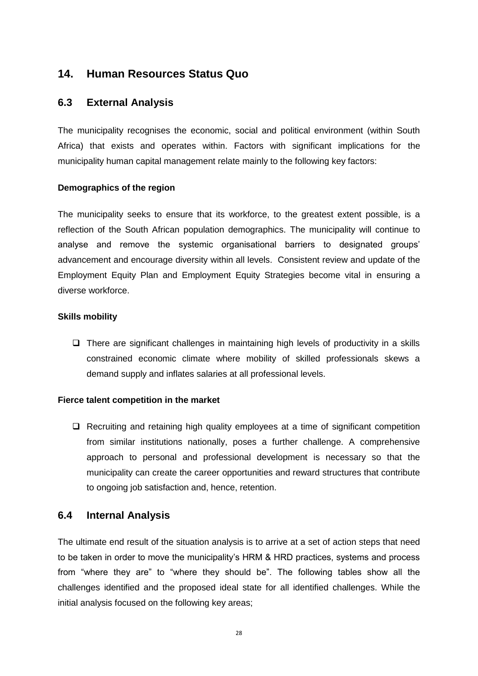## <span id="page-27-0"></span>**14. Human Resources Status Quo**

### <span id="page-27-1"></span>**6.3 External Analysis**

The municipality recognises the economic, social and political environment (within South Africa) that exists and operates within. Factors with significant implications for the municipality human capital management relate mainly to the following key factors:

### **Demographics of the region**

The municipality seeks to ensure that its workforce, to the greatest extent possible, is a reflection of the South African population demographics. The municipality will continue to analyse and remove the systemic organisational barriers to designated groups' advancement and encourage diversity within all levels. Consistent review and update of the Employment Equity Plan and Employment Equity Strategies become vital in ensuring a diverse workforce.

### **Skills mobility**

 $\Box$  There are significant challenges in maintaining high levels of productivity in a skills constrained economic climate where mobility of skilled professionals skews a demand supply and inflates salaries at all professional levels.

#### **Fierce talent competition in the market**

 $\Box$  Recruiting and retaining high quality employees at a time of significant competition from similar institutions nationally, poses a further challenge. A comprehensive approach to personal and professional development is necessary so that the municipality can create the career opportunities and reward structures that contribute to ongoing job satisfaction and, hence, retention.

### <span id="page-27-2"></span>**6.4 Internal Analysis**

The ultimate end result of the situation analysis is to arrive at a set of action steps that need to be taken in order to move the municipality's HRM & HRD practices, systems and process from "where they are" to "where they should be". The following tables show all the challenges identified and the proposed ideal state for all identified challenges. While the initial analysis focused on the following key areas;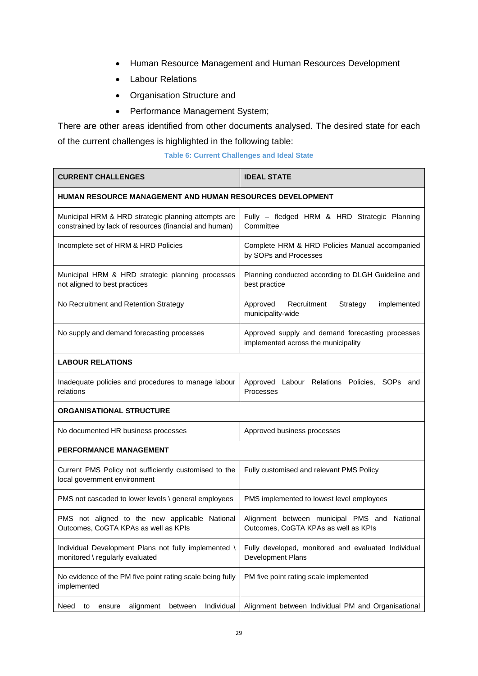- Human Resource Management and Human Resources Development
- Labour Relations
- Organisation Structure and
- Performance Management System;

There are other areas identified from other documents analysed. The desired state for each of the current challenges is highlighted in the following table:

|  |  | Table 6: Current Challenges and Ideal State |  |  |  |
|--|--|---------------------------------------------|--|--|--|
|--|--|---------------------------------------------|--|--|--|

| <b>CURRENT CHALLENGES</b>                                                                                     | <b>IDEAL STATE</b>                                                                      |  |  |
|---------------------------------------------------------------------------------------------------------------|-----------------------------------------------------------------------------------------|--|--|
| <b>HUMAN RESOURCE MANAGEMENT AND HUMAN RESOURCES DEVELOPMENT</b>                                              |                                                                                         |  |  |
| Municipal HRM & HRD strategic planning attempts are<br>constrained by lack of resources (financial and human) | Fully - fledged HRM & HRD Strategic Planning<br>Committee                               |  |  |
| Incomplete set of HRM & HRD Policies                                                                          | Complete HRM & HRD Policies Manual accompanied<br>by SOPs and Processes                 |  |  |
| Municipal HRM & HRD strategic planning processes<br>not aligned to best practices                             | Planning conducted according to DLGH Guideline and<br>best practice                     |  |  |
| No Recruitment and Retention Strategy                                                                         | Approved<br>Recruitment<br>Strategy<br>implemented<br>municipality-wide                 |  |  |
| No supply and demand forecasting processes                                                                    | Approved supply and demand forecasting processes<br>implemented across the municipality |  |  |
| <b>LABOUR RELATIONS</b>                                                                                       |                                                                                         |  |  |
| Inadequate policies and procedures to manage labour<br>relations                                              | Approved Labour Relations Policies, SOPs and<br>Processes                               |  |  |
| <b>ORGANISATIONAL STRUCTURE</b>                                                                               |                                                                                         |  |  |
| No documented HR business processes                                                                           | Approved business processes                                                             |  |  |
| <b>PERFORMANCE MANAGEMENT</b>                                                                                 |                                                                                         |  |  |
| Current PMS Policy not sufficiently customised to the<br>local government environment                         | Fully customised and relevant PMS Policy                                                |  |  |
| PMS not cascaded to lower levels \ general employees                                                          | PMS implemented to lowest level employees                                               |  |  |
| PMS not aligned to the new applicable National<br>Outcomes, CoGTA KPAs as well as KPIs                        | Alignment between municipal PMS and National<br>Outcomes, CoGTA KPAs as well as KPIs    |  |  |
| Individual Development Plans not fully implemented \<br>monitored \ regularly evaluated                       | Fully developed, monitored and evaluated Individual<br>Development Plans                |  |  |
| No evidence of the PM five point rating scale being fully<br>implemented                                      | PM five point rating scale implemented                                                  |  |  |
| Individual<br>Need<br>alignment<br>between<br>to<br>ensure                                                    | Alignment between Individual PM and Organisational                                      |  |  |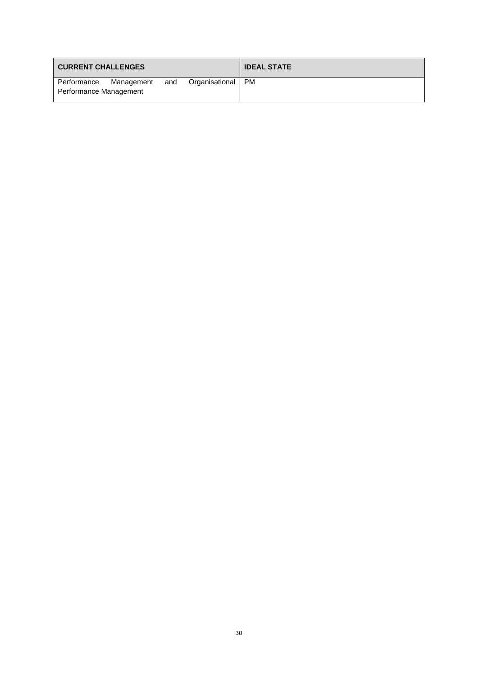| <b>CURRENT CHALLENGES</b> |            |     |                | <b>IDEAL STATE</b> |
|---------------------------|------------|-----|----------------|--------------------|
| Performance               | Management | and | Organisational | <b>PM</b>          |
| Performance Management    |            |     |                |                    |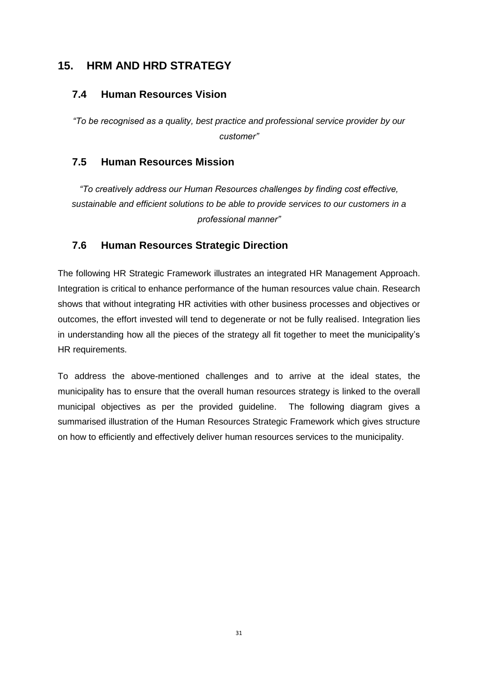## <span id="page-30-0"></span>**15. HRM AND HRD STRATEGY**

## <span id="page-30-1"></span>**7.4 Human Resources Vision**

*"To be recognised as a quality, best practice and professional service provider by our customer"*

## <span id="page-30-2"></span>**7.5 Human Resources Mission**

*"To creatively address our Human Resources challenges by finding cost effective, sustainable and efficient solutions to be able to provide services to our customers in a professional manner"*

## <span id="page-30-3"></span>**7.6 Human Resources Strategic Direction**

The following HR Strategic Framework illustrates an integrated HR Management Approach. Integration is critical to enhance performance of the human resources value chain. Research shows that without integrating HR activities with other business processes and objectives or outcomes, the effort invested will tend to degenerate or not be fully realised. Integration lies in understanding how all the pieces of the strategy all fit together to meet the municipality's HR requirements.

To address the above-mentioned challenges and to arrive at the ideal states, the municipality has to ensure that the overall human resources strategy is linked to the overall municipal objectives as per the provided guideline. The following diagram gives a summarised illustration of the Human Resources Strategic Framework which gives structure on how to efficiently and effectively deliver human resources services to the municipality.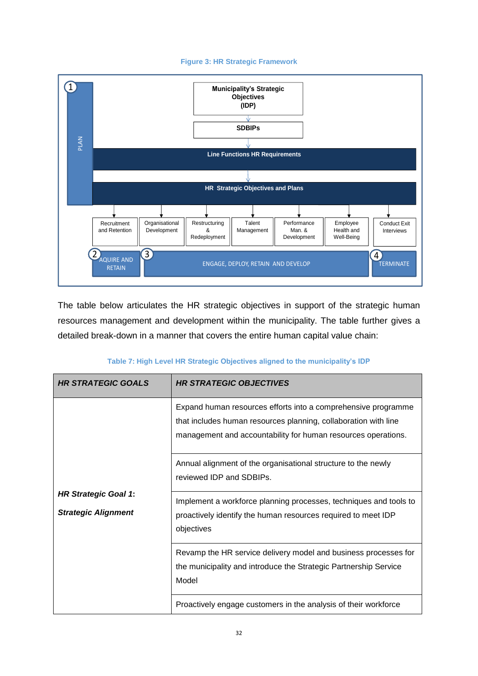#### **Figure 3: HR Strategic Framework**



The table below articulates the HR strategic objectives in support of the strategic human resources management and development within the municipality. The table further gives a detailed break-down in a manner that covers the entire human capital value chain:

|  |  |  | Table 7: High Level HR Strategic Objectives aligned to the municipality's IDP |  |
|--|--|--|-------------------------------------------------------------------------------|--|
|  |  |  |                                                                               |  |

| <b>HR STRATEGIC GOALS</b>                                 | <b>HR STRATEGIC OBJECTIVES</b>                                                                                                                                                                    |
|-----------------------------------------------------------|---------------------------------------------------------------------------------------------------------------------------------------------------------------------------------------------------|
|                                                           | Expand human resources efforts into a comprehensive programme<br>that includes human resources planning, collaboration with line<br>management and accountability for human resources operations. |
|                                                           | Annual alignment of the organisational structure to the newly<br>reviewed IDP and SDBIPs.                                                                                                         |
| <b>HR Strategic Goal 1:</b><br><b>Strategic Alignment</b> | Implement a workforce planning processes, techniques and tools to<br>proactively identify the human resources required to meet IDP<br>objectives                                                  |
|                                                           | Revamp the HR service delivery model and business processes for<br>the municipality and introduce the Strategic Partnership Service<br>Model                                                      |
|                                                           | Proactively engage customers in the analysis of their workforce                                                                                                                                   |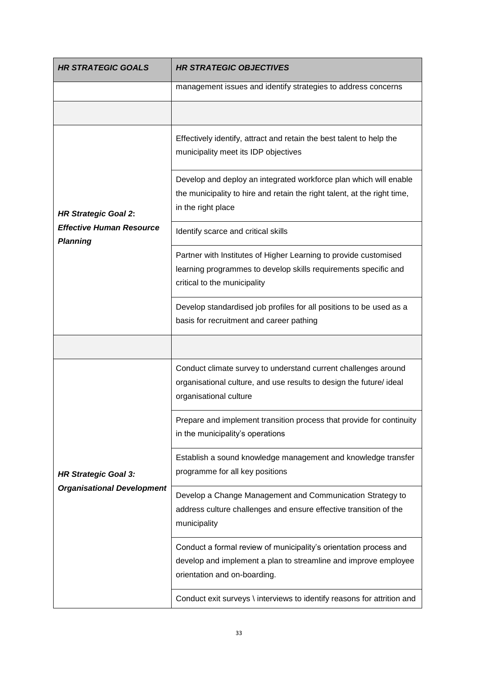| <b>HR STRATEGIC GOALS</b>                          | <b>HR STRATEGIC OBJECTIVES</b>                                                                                                                                       |
|----------------------------------------------------|----------------------------------------------------------------------------------------------------------------------------------------------------------------------|
|                                                    | management issues and identify strategies to address concerns                                                                                                        |
|                                                    |                                                                                                                                                                      |
|                                                    | Effectively identify, attract and retain the best talent to help the<br>municipality meet its IDP objectives                                                         |
| <b>HR Strategic Goal 2:</b>                        | Develop and deploy an integrated workforce plan which will enable<br>the municipality to hire and retain the right talent, at the right time,<br>in the right place  |
| <b>Effective Human Resource</b><br><b>Planning</b> | Identify scarce and critical skills                                                                                                                                  |
|                                                    | Partner with Institutes of Higher Learning to provide customised<br>learning programmes to develop skills requirements specific and<br>critical to the municipality  |
|                                                    | Develop standardised job profiles for all positions to be used as a<br>basis for recruitment and career pathing                                                      |
|                                                    |                                                                                                                                                                      |
|                                                    | Conduct climate survey to understand current challenges around<br>organisational culture, and use results to design the future/ ideal<br>organisational culture      |
|                                                    | Prepare and implement transition process that provide for continuity<br>in the municipality's operations                                                             |
| <b>HR Strategic Goal 3:</b>                        | Establish a sound knowledge management and knowledge transfer<br>programme for all key positions                                                                     |
| <b>Organisational Development</b>                  | Develop a Change Management and Communication Strategy to<br>address culture challenges and ensure effective transition of the<br>municipality                       |
|                                                    | Conduct a formal review of municipality's orientation process and<br>develop and implement a plan to streamline and improve employee<br>orientation and on-boarding. |
|                                                    | Conduct exit surveys \ interviews to identify reasons for attrition and                                                                                              |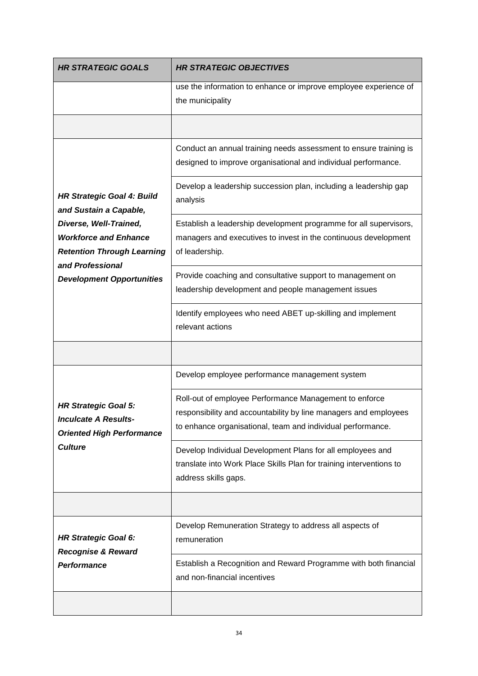| <b>HR STRATEGIC GOALS</b>                                                                                       | <b>HR STRATEGIC OBJECTIVES</b>                                                                                                                                                            |
|-----------------------------------------------------------------------------------------------------------------|-------------------------------------------------------------------------------------------------------------------------------------------------------------------------------------------|
|                                                                                                                 | use the information to enhance or improve employee experience of<br>the municipality                                                                                                      |
|                                                                                                                 |                                                                                                                                                                                           |
|                                                                                                                 | Conduct an annual training needs assessment to ensure training is<br>designed to improve organisational and individual performance.                                                       |
| <b>HR Strategic Goal 4: Build</b><br>and Sustain a Capable,                                                     | Develop a leadership succession plan, including a leadership gap<br>analysis                                                                                                              |
| Diverse, Well-Trained,<br><b>Workforce and Enhance</b><br><b>Retention Through Learning</b><br>and Professional | Establish a leadership development programme for all supervisors,<br>managers and executives to invest in the continuous development<br>of leadership.                                    |
| <b>Development Opportunities</b>                                                                                | Provide coaching and consultative support to management on<br>leadership development and people management issues                                                                         |
|                                                                                                                 | Identify employees who need ABET up-skilling and implement<br>relevant actions                                                                                                            |
|                                                                                                                 |                                                                                                                                                                                           |
|                                                                                                                 | Develop employee performance management system                                                                                                                                            |
| <b>HR Strategic Goal 5:</b><br><b>Inculcate A Results-</b><br><b>Oriented High Performance</b>                  | Roll-out of employee Performance Management to enforce<br>responsibility and accountability by line managers and employees<br>to enhance organisational, team and individual performance. |
| <b>Culture</b>                                                                                                  | Develop Individual Development Plans for all employees and<br>translate into Work Place Skills Plan for training interventions to<br>address skills gaps.                                 |
|                                                                                                                 |                                                                                                                                                                                           |
| <b>HR Strategic Goal 6:</b><br><b>Recognise &amp; Reward</b>                                                    | Develop Remuneration Strategy to address all aspects of<br>remuneration                                                                                                                   |
| Performance                                                                                                     | Establish a Recognition and Reward Programme with both financial<br>and non-financial incentives                                                                                          |
|                                                                                                                 |                                                                                                                                                                                           |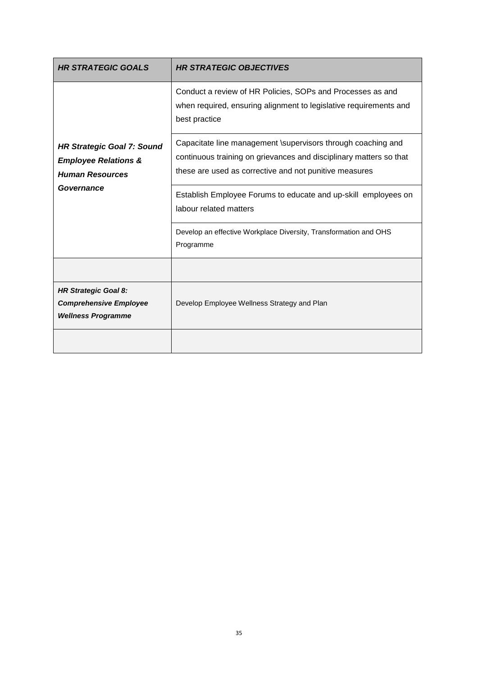| <b>HR STRATEGIC GOALS</b>                                                                      | <b>HR STRATEGIC OBJECTIVES</b>                                                                                                                                                               |
|------------------------------------------------------------------------------------------------|----------------------------------------------------------------------------------------------------------------------------------------------------------------------------------------------|
|                                                                                                | Conduct a review of HR Policies, SOPs and Processes as and<br>when required, ensuring alignment to legislative requirements and<br>best practice                                             |
| <b>HR Strategic Goal 7: Sound</b><br><b>Employee Relations &amp;</b><br><b>Human Resources</b> | Capacitate line management \supervisors through coaching and<br>continuous training on grievances and disciplinary matters so that<br>these are used as corrective and not punitive measures |
| Governance                                                                                     | Establish Employee Forums to educate and up-skill employees on<br>labour related matters                                                                                                     |
|                                                                                                | Develop an effective Workplace Diversity, Transformation and OHS<br>Programme                                                                                                                |
|                                                                                                |                                                                                                                                                                                              |
| <b>HR Strategic Goal 8:</b><br><b>Comprehensive Employee</b><br><b>Wellness Programme</b>      | Develop Employee Wellness Strategy and Plan                                                                                                                                                  |
|                                                                                                |                                                                                                                                                                                              |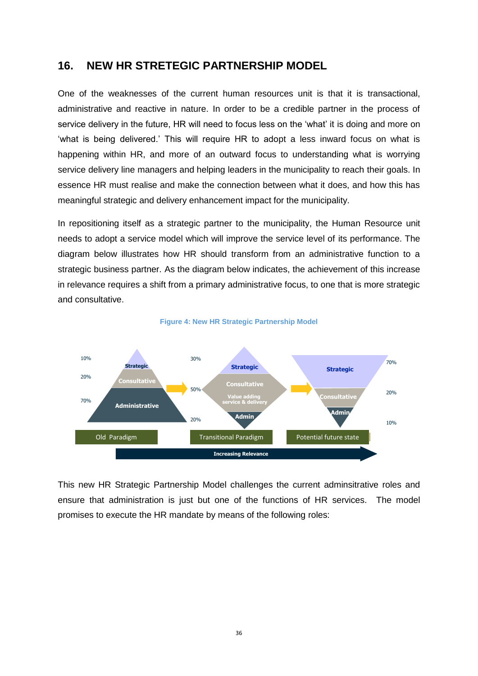### <span id="page-35-0"></span>**16. NEW HR STRETEGIC PARTNERSHIP MODEL**

One of the weaknesses of the current human resources unit is that it is transactional, administrative and reactive in nature. In order to be a credible partner in the process of service delivery in the future, HR will need to focus less on the 'what' it is doing and more on 'what is being delivered.' This will require HR to adopt a less inward focus on what is happening within HR, and more of an outward focus to understanding what is worrying service delivery line managers and helping leaders in the municipality to reach their goals. In essence HR must realise and make the connection between what it does, and how this has meaningful strategic and delivery enhancement impact for the municipality.

In repositioning itself as a strategic partner to the municipality, the Human Resource unit needs to adopt a service model which will improve the service level of its performance. The diagram below illustrates how HR should transform from an administrative function to a strategic business partner. As the diagram below indicates, the achievement of this increase in relevance requires a shift from a primary administrative focus, to one that is more strategic and consultative.



#### **Figure 4: New HR Strategic Partnership Model**

This new HR Strategic Partnership Model challenges the current adminsitrative roles and ensure that administration is just but one of the functions of HR services. The model promises to execute the HR mandate by means of the following roles: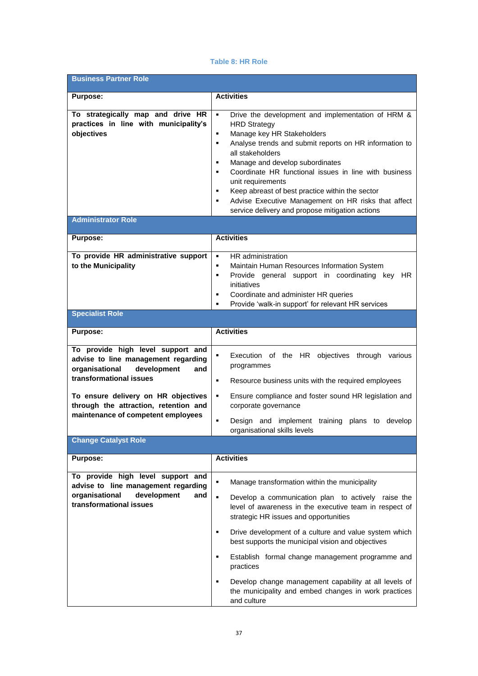#### **Table 8: HR Role**

| <b>Business Partner Role</b>                                                                                                                                                                                                                                      |                                                                                                                                                                                                                                                                                                                                                                                                                                                                                                                                                             |
|-------------------------------------------------------------------------------------------------------------------------------------------------------------------------------------------------------------------------------------------------------------------|-------------------------------------------------------------------------------------------------------------------------------------------------------------------------------------------------------------------------------------------------------------------------------------------------------------------------------------------------------------------------------------------------------------------------------------------------------------------------------------------------------------------------------------------------------------|
| <b>Purpose:</b>                                                                                                                                                                                                                                                   | <b>Activities</b>                                                                                                                                                                                                                                                                                                                                                                                                                                                                                                                                           |
| To strategically map and drive HR<br>practices in line with municipality's<br>objectives                                                                                                                                                                          | $\blacksquare$<br>Drive the development and implementation of HRM &<br><b>HRD Strategy</b><br>Manage key HR Stakeholders<br>٠<br>Analyse trends and submit reports on HR information to<br>٠<br>all stakeholders<br>Manage and develop subordinates<br>٠<br>Coordinate HR functional issues in line with business<br>٠<br>unit requirements<br>Keep abreast of best practice within the sector<br>٠<br>Advise Executive Management on HR risks that affect<br>٠<br>service delivery and propose mitigation actions                                          |
| <b>Administrator Role</b>                                                                                                                                                                                                                                         |                                                                                                                                                                                                                                                                                                                                                                                                                                                                                                                                                             |
| <b>Purpose:</b>                                                                                                                                                                                                                                                   | <b>Activities</b>                                                                                                                                                                                                                                                                                                                                                                                                                                                                                                                                           |
| To provide HR administrative support<br>to the Municipality                                                                                                                                                                                                       | HR administration<br>$\blacksquare$<br>Maintain Human Resources Information System<br>$\blacksquare$<br>Provide general support in coordinating key HR<br>٠<br>initiatives<br>Coordinate and administer HR queries<br>٠<br>Provide 'walk-in support' for relevant HR services<br>$\blacksquare$                                                                                                                                                                                                                                                             |
| <b>Specialist Role</b>                                                                                                                                                                                                                                            |                                                                                                                                                                                                                                                                                                                                                                                                                                                                                                                                                             |
| Purpose:                                                                                                                                                                                                                                                          | <b>Activities</b>                                                                                                                                                                                                                                                                                                                                                                                                                                                                                                                                           |
| To provide high level support and<br>advise to line management regarding<br>organisational<br>development<br>and<br>transformational issues<br>To ensure delivery on HR objectives<br>through the attraction, retention and<br>maintenance of competent employees | ٠<br>Execution of the HR objectives through various<br>programmes<br>Resource business units with the required employees<br>٠<br>٠<br>Ensure compliance and foster sound HR legislation and<br>corporate governance                                                                                                                                                                                                                                                                                                                                         |
|                                                                                                                                                                                                                                                                   | Design and implement training plans to develop<br>٠<br>organisational skills levels                                                                                                                                                                                                                                                                                                                                                                                                                                                                         |
| <b>Change Catalyst Role</b>                                                                                                                                                                                                                                       |                                                                                                                                                                                                                                                                                                                                                                                                                                                                                                                                                             |
| <b>Purpose:</b>                                                                                                                                                                                                                                                   | <b>Activities</b>                                                                                                                                                                                                                                                                                                                                                                                                                                                                                                                                           |
| To provide high level support and<br>advise to line management regarding<br>organisational<br>development<br>and<br>transformational issues                                                                                                                       | Manage transformation within the municipality<br>٠<br>$\blacksquare$<br>Develop a communication plan to actively raise the<br>level of awareness in the executive team in respect of<br>strategic HR issues and opportunities<br>Drive development of a culture and value system which<br>٠<br>best supports the municipal vision and objectives<br>Establish formal change management programme and<br>٠<br>practices<br>Develop change management capability at all levels of<br>٠<br>the municipality and embed changes in work practices<br>and culture |